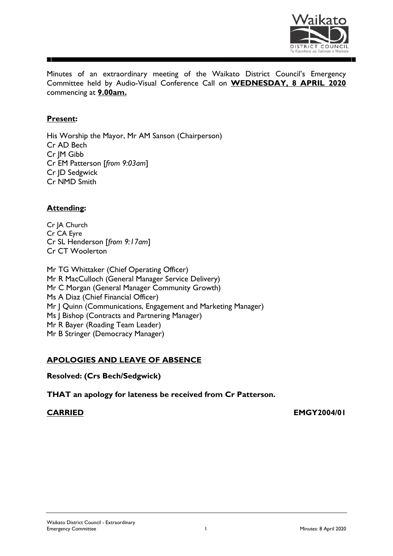

Minutes of an extraordinary meeting of the Waikato District Council's Emergency Committee held by Audio-Visual Conference Call on **WEDNESDAY, 8 APRIL 2020**  commencing at **9.00am.**

# **Present:**

His Worship the Mayor, Mr AM Sanson (Chairperson) Cr AD Bech Cr JM Gibb Cr EM Patterson [*from 9:03am*] Cr JD Sedgwick Cr NMD Smith

# **Attending:**

Cr JA Church Cr CA Eyre Cr SL Henderson [*from 9:17am*] Cr CT Woolerton

Mr TG Whittaker (Chief Operating Officer) Mr R MacCulloch (General Manager Service Delivery) Mr C Morgan (General Manager Community Growth) Ms A Diaz (Chief Financial Officer) Mr J Quinn (Communications, Engagement and Marketing Manager) Ms | Bishop (Contracts and Partnering Manager) Mr R Bayer (Roading Team Leader) Mr B Stringer (Democracy Manager)

# **APOLOGIES AND LEAVE OF ABSENCE**

**Resolved: (Crs Bech/Sedgwick)**

**THAT an apology for lateness be received from Cr Patterson.**

**CARRIED EMGY2004/01**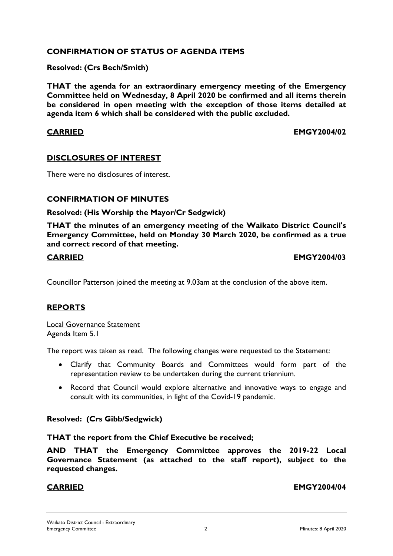# **CONFIRMATION OF STATUS OF AGENDA ITEMS**

### **Resolved: (Crs Bech/Smith)**

**THAT the agenda for an extraordinary emergency meeting of the Emergency Committee held on Wednesday, 8 April 2020 be confirmed and all items therein be considered in open meeting with the exception of those items detailed at agenda item 6 which shall be considered with the public excluded.**

**CARRIED EMGY2004/02**

# **DISCLOSURES OF INTEREST**

There were no disclosures of interest.

# **CONFIRMATION OF MINUTES**

### **Resolved: (His Worship the Mayor/Cr Sedgwick)**

**THAT the minutes of an emergency meeting of the Waikato District Council's Emergency Committee, held on Monday 30 March 2020, be confirmed as a true and correct record of that meeting.**

### **CARRIED EMGY2004/03**

Councillor Patterson joined the meeting at 9.03am at the conclusion of the above item.

### **REPORTS**

Local Governance Statement Agenda Item 5.1

The report was taken as read. The following changes were requested to the Statement:

- Clarify that Community Boards and Committees would form part of the representation review to be undertaken during the current triennium.
- Record that Council would explore alternative and innovative ways to engage and consult with its communities, in light of the Covid-19 pandemic.

### **Resolved: (Crs Gibb/Sedgwick)**

### **THAT the report from the Chief Executive be received;**

**AND THAT the Emergency Committee approves the 2019-22 Local Governance Statement (as attached to the staff report), subject to the requested changes.**

**CARRIED EMGY2004/04**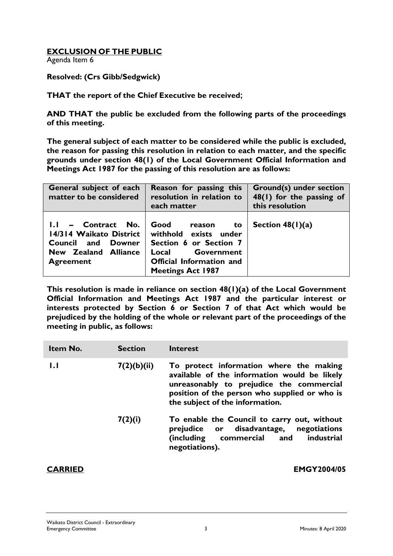# **EXCLUSION OF THE PUBLIC**

Agenda Item 6

### **Resolved: (Crs Gibb/Sedgwick)**

**THAT the report of the Chief Executive be received;**

**AND THAT the public be excluded from the following parts of the proceedings of this meeting.**

**The general subject of each matter to be considered while the public is excluded, the reason for passing this resolution in relation to each matter, and the specific grounds under section 48(1) of the Local Government Official Information and Meetings Act 1987 for the passing of this resolution are as follows:**

| General subject of each<br>matter to be considered                                                                          | Reason for passing this<br>resolution in relation to<br>each matter                                                                                           | <b>Ground(s) under section</b><br>48(1) for the passing of<br>this resolution |
|-----------------------------------------------------------------------------------------------------------------------------|---------------------------------------------------------------------------------------------------------------------------------------------------------------|-------------------------------------------------------------------------------|
| $I.I -$ Contract No.<br>14/314 Waikato District<br>Council and<br><b>Downer</b><br>New Zealand Alliance<br><b>Agreement</b> | Good<br>reason<br>to<br>withhold exists under<br>Section 6 or Section 7<br>Government<br>Local<br><b>Official Information and</b><br><b>Meetings Act 1987</b> | Section $48(1)(a)$                                                            |

**This resolution is made in reliance on section 48(1)(a) of the Local Government Official Information and Meetings Act 1987 and the particular interest or interests protected by Section 6 or Section 7 of that Act which would be prejudiced by the holding of the whole or relevant part of the proceedings of the meeting in public, as follows:**

| Item No. | <b>Section</b> | Interest                                                                                                                                                                                                                |
|----------|----------------|-------------------------------------------------------------------------------------------------------------------------------------------------------------------------------------------------------------------------|
| 1.1      | 7(2)(b)(ii)    | To protect information where the making<br>available of the information would be likely<br>unreasonably to prejudice the commercial<br>position of the person who supplied or who is<br>the subject of the information. |
|          | 7(2)(i)        | To enable the Council to carry out, without<br>prejudice or disadvantage, negotiations<br>commercial and<br>(including<br>industrial<br>negotiations).                                                                  |

**CARRIED EMGY2004/05**